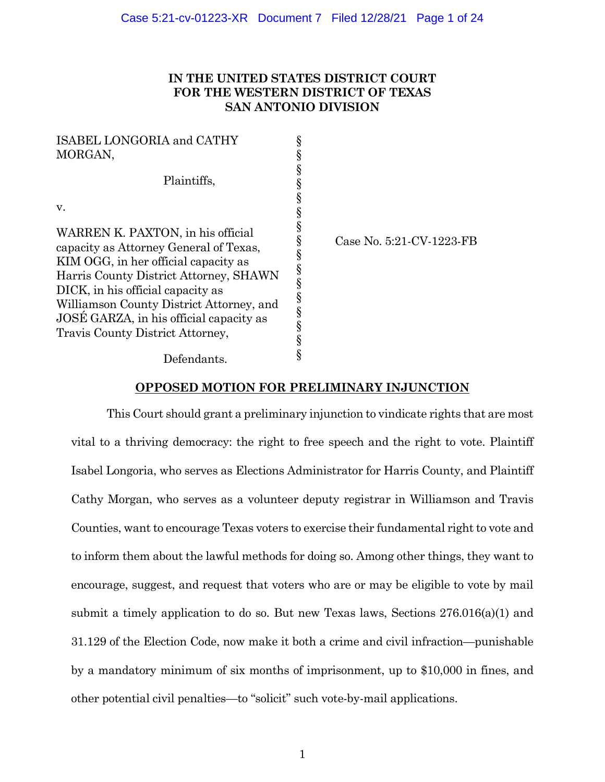# **IN THE UNITED STATES DISTRICT COURT FOR THE WESTERN DISTRICT OF TEXAS SAN ANTONIO DIVISION**

| ISABEL LONGORIA and CATHY                |        |  |
|------------------------------------------|--------|--|
| MORGAN,                                  |        |  |
|                                          | ş      |  |
| Plaintiffs,                              |        |  |
|                                          | ş      |  |
| v.                                       |        |  |
| WARREN K. PAXTON, in his official        |        |  |
| capacity as Attorney General of Texas,   |        |  |
| KIM OGG, in her official capacity as     |        |  |
| Harris County District Attorney, SHAWN   | §<br>§ |  |
| DICK, in his official capacity as        |        |  |
| Williamson County District Attorney, and | §<br>§ |  |
| JOSE GARZA, in his official capacity as  |        |  |
| Travis County District Attorney,         | §      |  |
|                                          |        |  |
| Defendants.                              |        |  |

e No. 5:21-CV-1223-FB

# **OPPOSED MOTION FOR PRELIMINARY INJUNCTION**

This Court should grant a preliminary injunction to vindicate rights that are most vital to a thriving democracy: the right to free speech and the right to vote. Plaintiff Isabel Longoria, who serves as Elections Administrator for Harris County, and Plaintiff Cathy Morgan, who serves as a volunteer deputy registrar in Williamson and Travis Counties, want to encourage Texas voters to exercise their fundamental right to vote and to inform them about the lawful methods for doing so. Among other things, they want to encourage, suggest, and request that voters who are or may be eligible to vote by mail submit a timely application to do so. But new Texas laws, Sections 276.016(a)(1) and 31.129 of the Election Code, now make it both a crime and civil infraction—punishable by a mandatory minimum of six months of imprisonment, up to \$10,000 in fines, and other potential civil penalties—to "solicit" such vote-by-mail applications.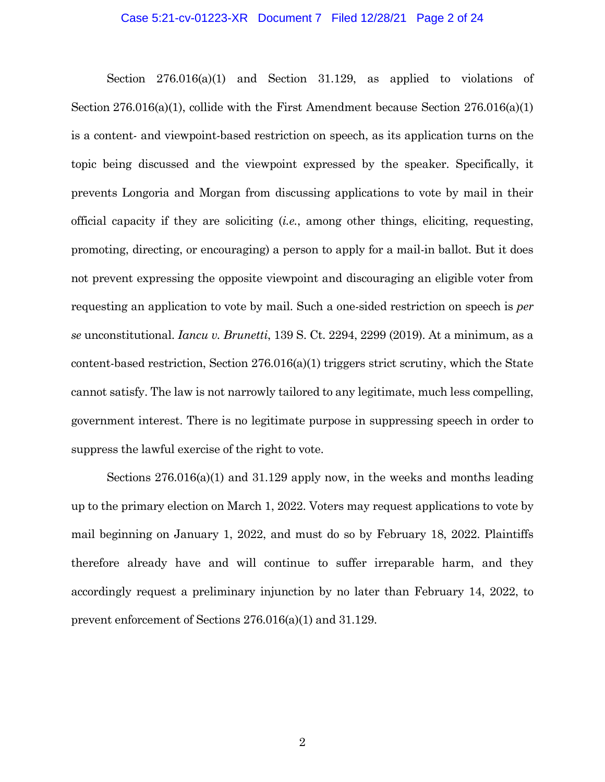## Case 5:21-cv-01223-XR Document 7 Filed 12/28/21 Page 2 of 24

Section 276.016(a)(1) and Section 31.129, as applied to violations of Section 276.016(a)(1), collide with the First Amendment because Section 276.016(a)(1) is a content- and viewpoint-based restriction on speech, as its application turns on the topic being discussed and the viewpoint expressed by the speaker. Specifically, it prevents Longoria and Morgan from discussing applications to vote by mail in their official capacity if they are soliciting (*i.e.*, among other things, eliciting, requesting, promoting, directing, or encouraging) a person to apply for a mail-in ballot. But it does not prevent expressing the opposite viewpoint and discouraging an eligible voter from requesting an application to vote by mail. Such a one-sided restriction on speech is *per se* unconstitutional. *Iancu v. Brunetti*, 139 S. Ct. 2294, 2299 (2019). At a minimum, as a content-based restriction, Section 276.016(a)(1) triggers strict scrutiny, which the State cannot satisfy. The law is not narrowly tailored to any legitimate, much less compelling, government interest. There is no legitimate purpose in suppressing speech in order to suppress the lawful exercise of the right to vote.

Sections 276.016(a)(1) and 31.129 apply now, in the weeks and months leading up to the primary election on March 1, 2022. Voters may request applications to vote by mail beginning on January 1, 2022, and must do so by February 18, 2022. Plaintiffs therefore already have and will continue to suffer irreparable harm, and they accordingly request a preliminary injunction by no later than February 14, 2022, to prevent enforcement of Sections 276.016(a)(1) and 31.129.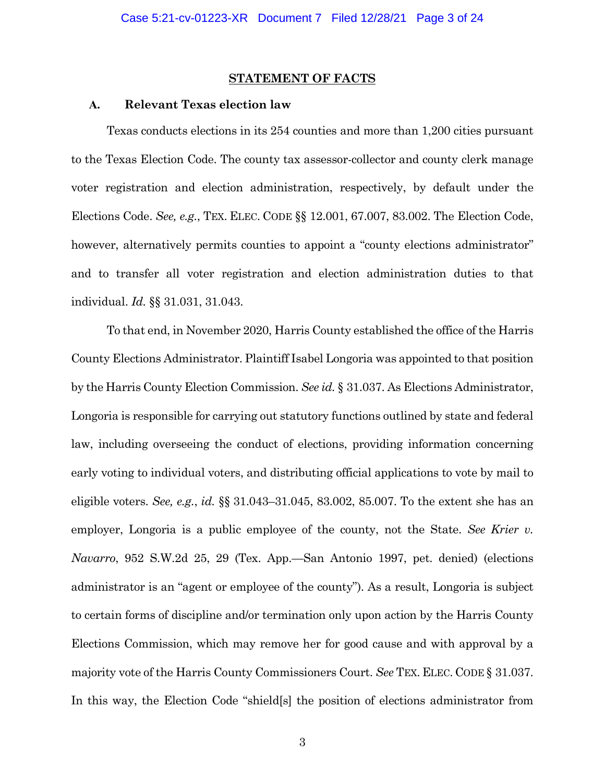#### **STATEMENT OF FACTS**

## **A. Relevant Texas election law**

Texas conducts elections in its 254 counties and more than 1,200 cities pursuant to the Texas Election Code. The county tax assessor-collector and county clerk manage voter registration and election administration, respectively, by default under the Elections Code. *See, e.g.*, TEX. ELEC. CODE §§ 12.001, 67.007, 83.002. The Election Code, however, alternatively permits counties to appoint a "county elections administrator" and to transfer all voter registration and election administration duties to that individual. *Id.* §§ 31.031, 31.043.

To that end, in November 2020, Harris County established the office of the Harris County Elections Administrator. Plaintiff Isabel Longoria was appointed to that position by the Harris County Election Commission. *See id.* § 31.037. As Elections Administrator, Longoria is responsible for carrying out statutory functions outlined by state and federal law, including overseeing the conduct of elections, providing information concerning early voting to individual voters, and distributing official applications to vote by mail to eligible voters. *See, e.g.*, *id.* §§ 31.043–31.045, 83.002, 85.007. To the extent she has an employer, Longoria is a public employee of the county, not the State. *See Krier v. Navarro*, 952 S.W.2d 25, 29 (Tex. App.—San Antonio 1997, pet. denied) (elections administrator is an "agent or employee of the county"). As a result, Longoria is subject to certain forms of discipline and/or termination only upon action by the Harris County Elections Commission, which may remove her for good cause and with approval by a majority vote of the Harris County Commissioners Court. *See* TEX. ELEC. CODE § 31.037. In this way, the Election Code "shield[s] the position of elections administrator from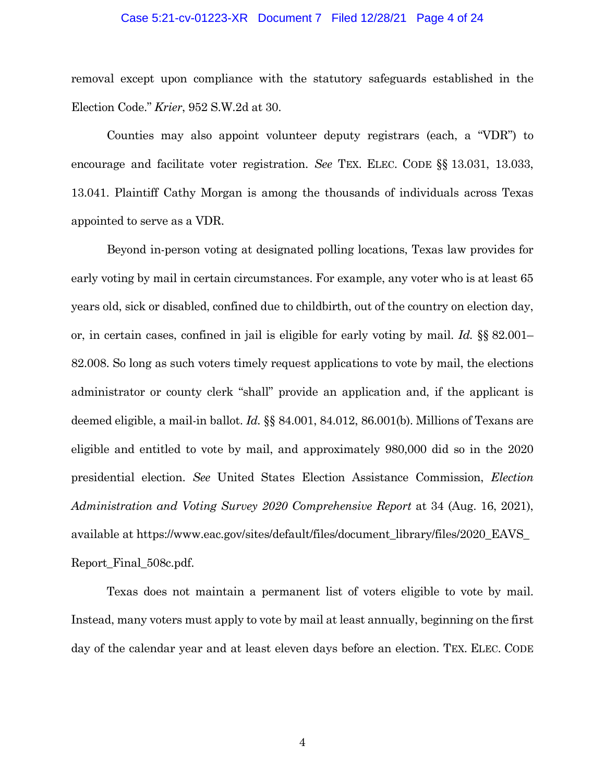## Case 5:21-cv-01223-XR Document 7 Filed 12/28/21 Page 4 of 24

removal except upon compliance with the statutory safeguards established in the Election Code." *Krier*, 952 S.W.2d at 30.

Counties may also appoint volunteer deputy registrars (each, a "VDR") to encourage and facilitate voter registration. *See* TEX. ELEC. CODE §§ 13.031, 13.033, 13.041. Plaintiff Cathy Morgan is among the thousands of individuals across Texas appointed to serve as a VDR.

Beyond in-person voting at designated polling locations, Texas law provides for early voting by mail in certain circumstances. For example, any voter who is at least 65 years old, sick or disabled, confined due to childbirth, out of the country on election day, or, in certain cases, confined in jail is eligible for early voting by mail. *Id.* §§ 82.001– 82.008. So long as such voters timely request applications to vote by mail, the elections administrator or county clerk "shall" provide an application and, if the applicant is deemed eligible, a mail-in ballot. *Id.* §§ 84.001, 84.012, 86.001(b). Millions of Texans are eligible and entitled to vote by mail, and approximately 980,000 did so in the 2020 presidential election. *See* United States Election Assistance Commission, *Election Administration and Voting Survey 2020 Comprehensive Report* at 34 (Aug. 16, 2021), available at https://www.eac.gov/sites/default/files/document\_library/files/2020\_EAVS\_ Report\_Final\_508c.pdf.

Texas does not maintain a permanent list of voters eligible to vote by mail. Instead, many voters must apply to vote by mail at least annually, beginning on the first day of the calendar year and at least eleven days before an election. TEX. ELEC. CODE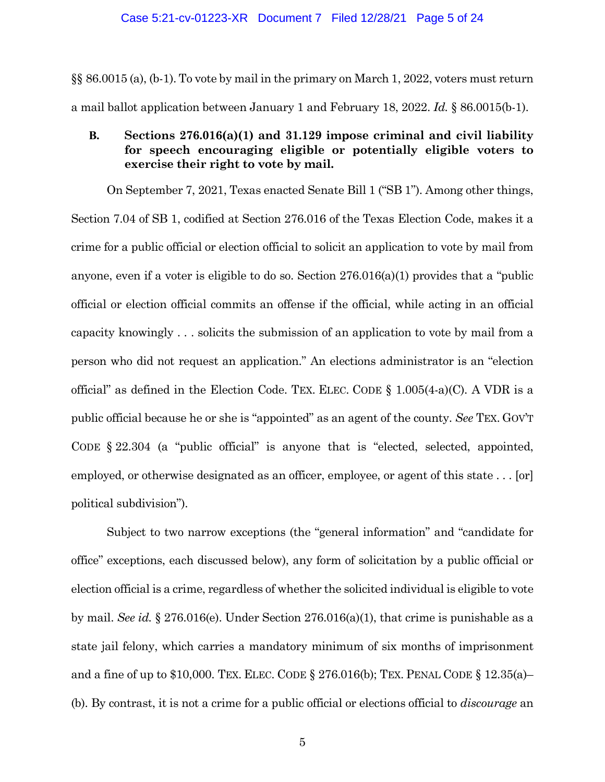## Case 5:21-cv-01223-XR Document 7 Filed 12/28/21 Page 5 of 24

§§ 86.0015 (a), (b-1). To vote by mail in the primary on March 1, 2022, voters must return a mail ballot application between January 1 and February 18, 2022. *Id.* § 86.0015(b-1).

# **B. Sections 276.016(a)(1) and 31.129 impose criminal and civil liability for speech encouraging eligible or potentially eligible voters to exercise their right to vote by mail.**

On September 7, 2021, Texas enacted Senate Bill 1 ("SB 1"). Among other things, Section 7.04 of SB 1, codified at Section 276.016 of the Texas Election Code, makes it a crime for a public official or election official to solicit an application to vote by mail from anyone, even if a voter is eligible to do so. Section  $276.016(a)(1)$  provides that a "public" official or election official commits an offense if the official, while acting in an official capacity knowingly . . . solicits the submission of an application to vote by mail from a person who did not request an application." An elections administrator is an "election official" as defined in the Election Code. TEX. ELEC. CODE  $\S$  1.005(4-a)(C). A VDR is a public official because he or she is "appointed" as an agent of the county. *See* TEX. GOV'T CODE § 22.304 (a "public official" is anyone that is "elected, selected, appointed, employed, or otherwise designated as an officer, employee, or agent of this state . . . [or] political subdivision").

Subject to two narrow exceptions (the "general information" and "candidate for office" exceptions, each discussed below), any form of solicitation by a public official or election official is a crime, regardless of whether the solicited individual is eligible to vote by mail. *See id.* § 276.016(e). Under Section 276.016(a)(1), that crime is punishable as a state jail felony, which carries a mandatory minimum of six months of imprisonment and a fine of up to \$10,000. TEX. ELEC. CODE § 276.016(b); TEX. PENAL CODE § 12.35(a)– (b). By contrast, it is not a crime for a public official or elections official to *discourage* an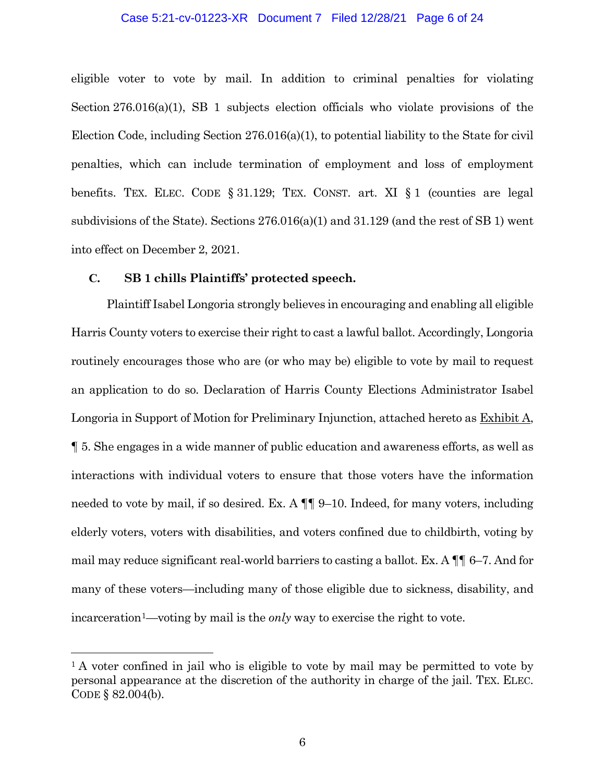# Case 5:21-cv-01223-XR Document 7 Filed 12/28/21 Page 6 of 24

eligible voter to vote by mail. In addition to criminal penalties for violating Section 276.016(a)(1), SB 1 subjects election officials who violate provisions of the Election Code, including Section 276.016(a)(1), to potential liability to the State for civil penalties, which can include termination of employment and loss of employment benefits. TEX. ELEC. CODE § 31.129; TEX. CONST. art. XI § 1 (counties are legal subdivisions of the State). Sections 276.016(a)(1) and 31.129 (and the rest of SB 1) went into effect on December 2, 2021.

# **C. SB 1 chills Plaintiffs' protected speech.**

Plaintiff Isabel Longoria strongly believes in encouraging and enabling all eligible Harris County voters to exercise their right to cast a lawful ballot. Accordingly, Longoria routinely encourages those who are (or who may be) eligible to vote by mail to request an application to do so. Declaration of Harris County Elections Administrator Isabel Longoria in Support of Motion for Preliminary Injunction, attached hereto as Exhibit A, ¶ 5. She engages in a wide manner of public education and awareness efforts, as well as interactions with individual voters to ensure that those voters have the information needed to vote by mail, if so desired. Ex. A  $\P\P$  9–10. Indeed, for many voters, including elderly voters, voters with disabilities, and voters confined due to childbirth, voting by mail may reduce significant real-world barriers to casting a ballot. Ex. A ¶¶ 6–7. And for many of these voters—including many of those eligible due to sickness, disability, and incarceratio[n1—](#page-5-0)voting by mail is the *only* way to exercise the right to vote.

<span id="page-5-0"></span><sup>&</sup>lt;sup>1</sup> A voter confined in jail who is eligible to vote by mail may be permitted to vote by personal appearance at the discretion of the authority in charge of the jail. TEX. ELEC. CODE § 82.004(b).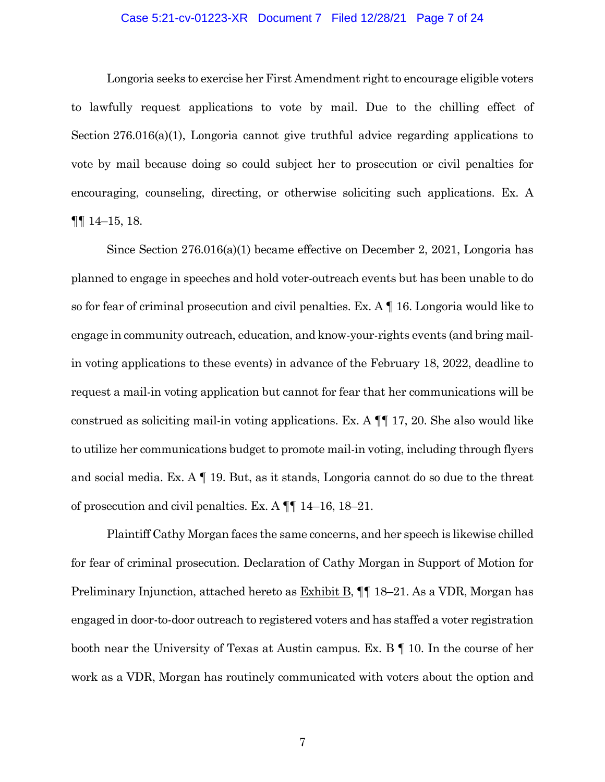# Case 5:21-cv-01223-XR Document 7 Filed 12/28/21 Page 7 of 24

Longoria seeks to exercise her First Amendment right to encourage eligible voters to lawfully request applications to vote by mail. Due to the chilling effect of Section 276.016(a)(1), Longoria cannot give truthful advice regarding applications to vote by mail because doing so could subject her to prosecution or civil penalties for encouraging, counseling, directing, or otherwise soliciting such applications. Ex. A ¶¶ 14–15, 18.

Since Section 276.016(a)(1) became effective on December 2, 2021, Longoria has planned to engage in speeches and hold voter-outreach events but has been unable to do so for fear of criminal prosecution and civil penalties. Ex.  $A \parallel 16$ . Longoria would like to engage in community outreach, education, and know-your-rights events (and bring mailin voting applications to these events) in advance of the February 18, 2022, deadline to request a mail-in voting application but cannot for fear that her communications will be construed as soliciting mail-in voting applications. Ex. A ¶¶ 17, 20. She also would like to utilize her communications budget to promote mail-in voting, including through flyers and social media. Ex. A ¶ 19. But, as it stands, Longoria cannot do so due to the threat of prosecution and civil penalties. Ex. A ¶¶ 14–16, 18–21.

Plaintiff Cathy Morgan faces the same concerns, and her speech is likewise chilled for fear of criminal prosecution. Declaration of Cathy Morgan in Support of Motion for Preliminary Injunction, attached hereto as Exhibit B, ¶¶ 18–21. As a VDR, Morgan has engaged in door-to-door outreach to registered voters and has staffed a voter registration booth near the University of Texas at Austin campus. Ex. B ¶ 10. In the course of her work as a VDR, Morgan has routinely communicated with voters about the option and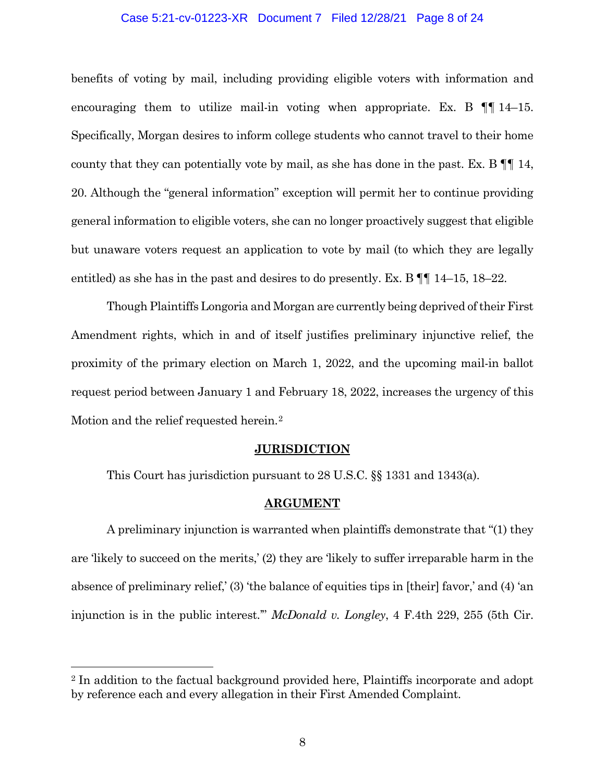# Case 5:21-cv-01223-XR Document 7 Filed 12/28/21 Page 8 of 24

benefits of voting by mail, including providing eligible voters with information and encouraging them to utilize mail-in voting when appropriate. Ex. B  $\P$  [14–15. Specifically, Morgan desires to inform college students who cannot travel to their home county that they can potentially vote by mail, as she has done in the past. Ex. B ¶¶ 14, 20. Although the "general information" exception will permit her to continue providing general information to eligible voters, she can no longer proactively suggest that eligible but unaware voters request an application to vote by mail (to which they are legally entitled) as she has in the past and desires to do presently. Ex. B ¶¶ 14–15, 18–22.

Though Plaintiffs Longoria and Morgan are currently being deprived of their First Amendment rights, which in and of itself justifies preliminary injunctive relief, the proximity of the primary election on March 1, 2022, and the upcoming mail-in ballot request period between January 1 and February 18, 2022, increases the urgency of this Motion and the relief requested herein.[2](#page-7-0)

### **JURISDICTION**

This Court has jurisdiction pursuant to 28 U.S.C. §§ 1331 and 1343(a).

# **ARGUMENT**

A preliminary injunction is warranted when plaintiffs demonstrate that "(1) they are 'likely to succeed on the merits,' (2) they are 'likely to suffer irreparable harm in the absence of preliminary relief,' (3) 'the balance of equities tips in [their] favor,' and (4) 'an injunction is in the public interest.'" *McDonald v. Longley*, 4 F.4th 229, 255 (5th Cir.

<span id="page-7-0"></span> <sup>2</sup> In addition to the factual background provided here, Plaintiffs incorporate and adopt by reference each and every allegation in their First Amended Complaint.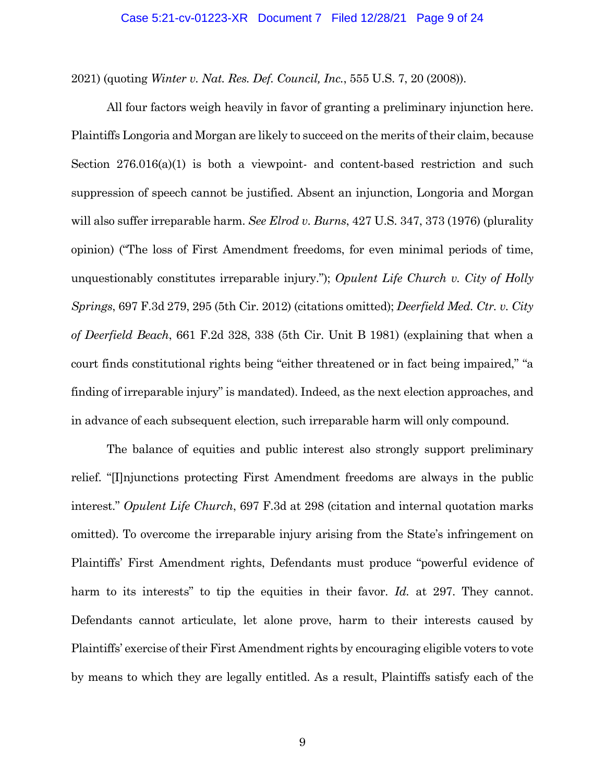2021) (quoting *Winter v. Nat. Res. Def. Council, Inc.*, 555 U.S. 7, 20 (2008)).

All four factors weigh heavily in favor of granting a preliminary injunction here. Plaintiffs Longoria and Morgan are likely to succeed on the merits of their claim, because Section 276.016(a)(1) is both a viewpoint- and content-based restriction and such suppression of speech cannot be justified. Absent an injunction, Longoria and Morgan will also suffer irreparable harm. *See Elrod v. Burns*, 427 U.S. 347, 373 (1976) (plurality opinion) ("The loss of First Amendment freedoms, for even minimal periods of time, unquestionably constitutes irreparable injury."); *Opulent Life Church v. City of Holly Springs*, 697 F.3d 279, 295 (5th Cir. 2012) (citations omitted); *Deerfield Med. Ctr. v. City of Deerfield Beach*, 661 F.2d 328, 338 (5th Cir. Unit B 1981) (explaining that when a court finds constitutional rights being "either threatened or in fact being impaired," "a finding of irreparable injury" is mandated). Indeed, as the next election approaches, and in advance of each subsequent election, such irreparable harm will only compound.

The balance of equities and public interest also strongly support preliminary relief. "[I]njunctions protecting First Amendment freedoms are always in the public interest." *Opulent Life Church*, 697 F.3d at 298 (citation and internal quotation marks omitted). To overcome the irreparable injury arising from the State's infringement on Plaintiffs' First Amendment rights, Defendants must produce "powerful evidence of harm to its interests" to tip the equities in their favor. *Id.* at 297. They cannot. Defendants cannot articulate, let alone prove, harm to their interests caused by Plaintiffs' exercise of their First Amendment rights by encouraging eligible voters to vote by means to which they are legally entitled. As a result, Plaintiffs satisfy each of the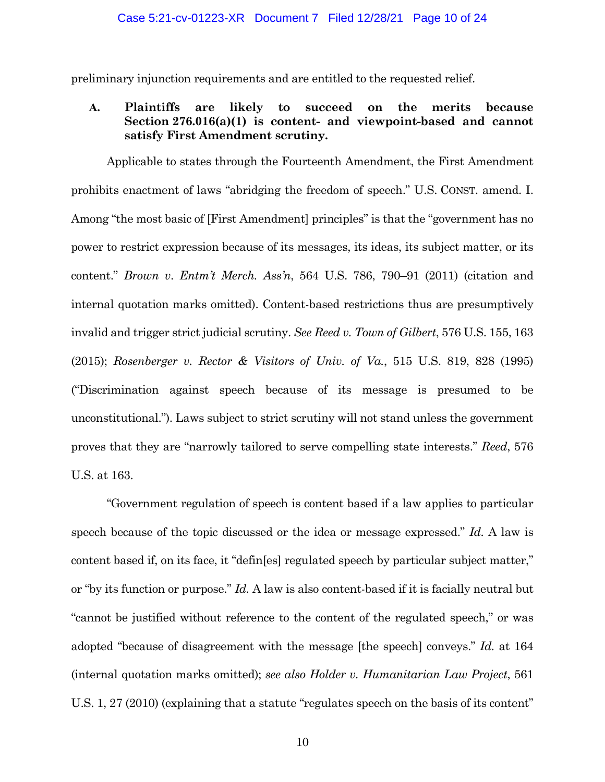preliminary injunction requirements and are entitled to the requested relief.

# **A. Plaintiffs are likely to succeed on the merits because Section 276.016(a)(1) is content- and viewpoint-based and cannot satisfy First Amendment scrutiny.**

Applicable to states through the Fourteenth Amendment, the First Amendment prohibits enactment of laws "abridging the freedom of speech." U.S. CONST. amend. I. Among "the most basic of [First Amendment] principles" is that the "government has no power to restrict expression because of its messages, its ideas, its subject matter, or its content." *Brown v*. *Entm't Merch. Ass'n*, 564 U.S. 786, 790–91 (2011) (citation and internal quotation marks omitted). Content-based restrictions thus are presumptively invalid and trigger strict judicial scrutiny. *See Reed v. Town of Gilbert*, 576 U.S. 155, 163 (2015); *Rosenberger v. Rector & Visitors of Univ. of Va.*, 515 U.S. 819, 828 (1995) ("Discrimination against speech because of its message is presumed to be unconstitutional."). Laws subject to strict scrutiny will not stand unless the government proves that they are "narrowly tailored to serve compelling state interests." *Reed*, 576 U.S. at 163.

"Government regulation of speech is content based if a law applies to particular speech because of the topic discussed or the idea or message expressed." *Id.* A law is content based if, on its face, it "defin[es] regulated speech by particular subject matter," or "by its function or purpose." *Id.* A law is also content-based if it is facially neutral but "cannot be justified without reference to the content of the regulated speech," or was adopted "because of disagreement with the message [the speech] conveys." *Id.* at 164 (internal quotation marks omitted); *see also Holder v. Humanitarian Law Project*, 561 U.S. 1, 27 (2010) (explaining that a statute "regulates speech on the basis of its content"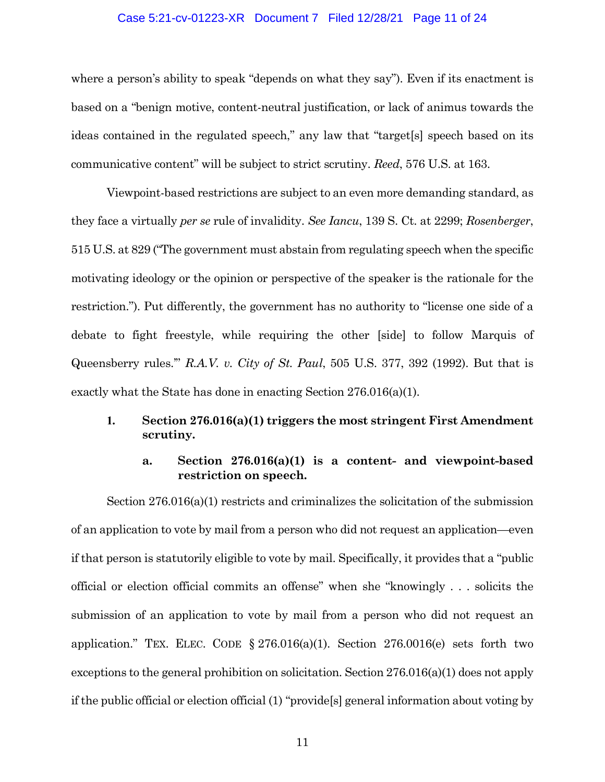# Case 5:21-cv-01223-XR Document 7 Filed 12/28/21 Page 11 of 24

where a person's ability to speak "depends on what they say"). Even if its enactment is based on a "benign motive, content-neutral justification, or lack of animus towards the ideas contained in the regulated speech," any law that "target[s] speech based on its communicative content" will be subject to strict scrutiny. *Reed*, 576 U.S. at 163.

Viewpoint-based restrictions are subject to an even more demanding standard, as they face a virtually *per se* rule of invalidity. *See Iancu*, 139 S. Ct. at 2299; *Rosenberger*, 515 U.S. at 829 ("The government must abstain from regulating speech when the specific motivating ideology or the opinion or perspective of the speaker is the rationale for the restriction."). Put differently, the government has no authority to "license one side of a debate to fight freestyle, while requiring the other [side] to follow Marquis of Queensberry rules.'" *R.A.V. v. City of St. Paul*, 505 U.S. 377, 392 (1992). But that is exactly what the State has done in enacting Section 276.016(a)(1).

# **1. Section 276.016(a)(1) triggers the most stringent First Amendment scrutiny.**

# **a. Section 276.016(a)(1) is a content- and viewpoint-based restriction on speech.**

Section 276.016(a)(1) restricts and criminalizes the solicitation of the submission of an application to vote by mail from a person who did not request an application—even if that person is statutorily eligible to vote by mail. Specifically, it provides that a "public official or election official commits an offense" when she "knowingly . . . solicits the submission of an application to vote by mail from a person who did not request an application." TEX. ELEC. CODE  $\S 276.016(a)(1)$ . Section 276.0016(e) sets forth two exceptions to the general prohibition on solicitation. Section 276.016(a)(1) does not apply if the public official or election official (1) "provide[s] general information about voting by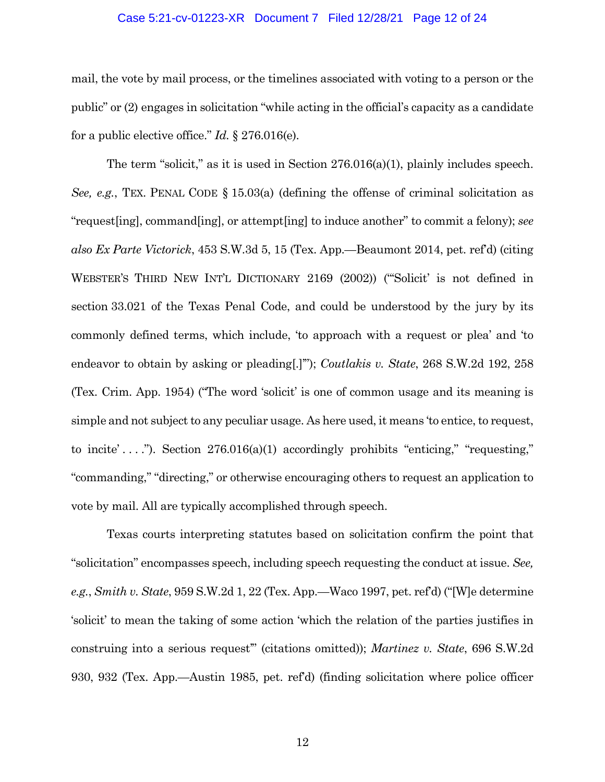#### Case 5:21-cv-01223-XR Document 7 Filed 12/28/21 Page 12 of 24

mail, the vote by mail process, or the timelines associated with voting to a person or the public" or (2) engages in solicitation "while acting in the official's capacity as a candidate for a public elective office." *Id.* § 276.016(e).

The term "solicit," as it is used in Section 276.016(a)(1), plainly includes speech. *See, e.g.*, TEX. PENAL CODE § 15.03(a) (defining the offense of criminal solicitation as "request[ing], command[ing], or attempt[ing] to induce another" to commit a felony); *see also Ex Parte Victorick*, 453 S.W.3d 5, 15 (Tex. App.—Beaumont 2014, pet. ref'd) (citing WEBSTER'S THIRD NEW INT'L DICTIONARY 2169 (2002)) ("'Solicit' is not defined in section 33.021 of the Texas Penal Code, and could be understood by the jury by its commonly defined terms, which include, 'to approach with a request or plea' and 'to endeavor to obtain by asking or pleading[.]'"); *Coutlakis v. State*, 268 S.W.2d 192, 258 (Tex. Crim. App. 1954) ("The word 'solicit' is one of common usage and its meaning is simple and not subject to any peculiar usage. As here used, it means 'to entice, to request, to incite'...."). Section  $276.016(a)(1)$  accordingly prohibits "enticing," "requesting," "commanding," "directing," or otherwise encouraging others to request an application to vote by mail. All are typically accomplished through speech.

Texas courts interpreting statutes based on solicitation confirm the point that "solicitation" encompasses speech, including speech requesting the conduct at issue. *See, e.g.*, *Smith v. State*, 959 S.W.2d 1, 22 (Tex. App.—Waco 1997, pet. ref'd) ("[W]e determine 'solicit' to mean the taking of some action 'which the relation of the parties justifies in construing into a serious request'" (citations omitted)); *Martinez v. State*, 696 S.W.2d 930, 932 (Tex. App.—Austin 1985, pet. ref'd) (finding solicitation where police officer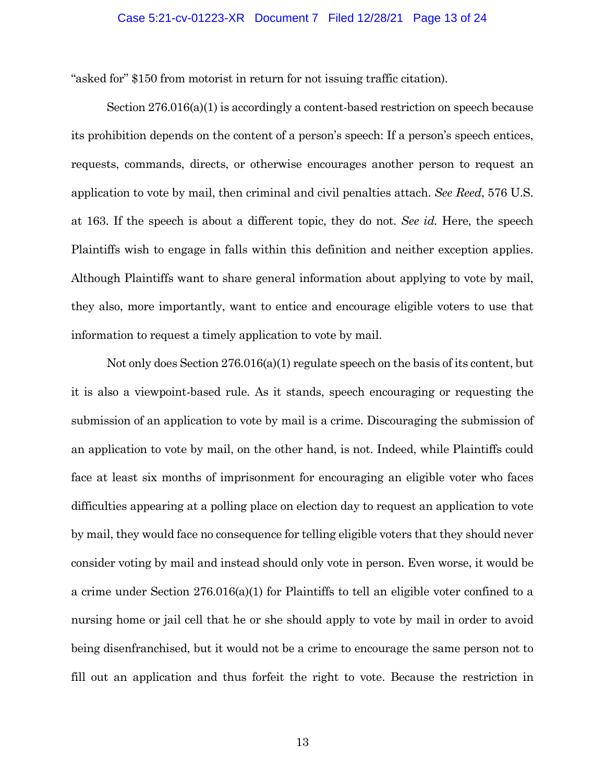#### Case 5:21-cv-01223-XR Document 7 Filed 12/28/21 Page 13 of 24

"asked for" \$150 from motorist in return for not issuing traffic citation).

Section 276.016(a)(1) is accordingly a content-based restriction on speech because its prohibition depends on the content of a person's speech: If a person's speech entices, requests, commands, directs, or otherwise encourages another person to request an application to vote by mail, then criminal and civil penalties attach. *See Reed*, 576 U.S. at 163. If the speech is about a different topic, they do not. *See id.* Here, the speech Plaintiffs wish to engage in falls within this definition and neither exception applies. Although Plaintiffs want to share general information about applying to vote by mail, they also, more importantly, want to entice and encourage eligible voters to use that information to request a timely application to vote by mail.

Not only does Section 276.016(a)(1) regulate speech on the basis of its content, but it is also a viewpoint-based rule. As it stands, speech encouraging or requesting the submission of an application to vote by mail is a crime. Discouraging the submission of an application to vote by mail, on the other hand, is not. Indeed, while Plaintiffs could face at least six months of imprisonment for encouraging an eligible voter who faces difficulties appearing at a polling place on election day to request an application to vote by mail, they would face no consequence for telling eligible voters that they should never consider voting by mail and instead should only vote in person. Even worse, it would be a crime under Section 276.016(a)(1) for Plaintiffs to tell an eligible voter confined to a nursing home or jail cell that he or she should apply to vote by mail in order to avoid being disenfranchised, but it would not be a crime to encourage the same person not to fill out an application and thus forfeit the right to vote. Because the restriction in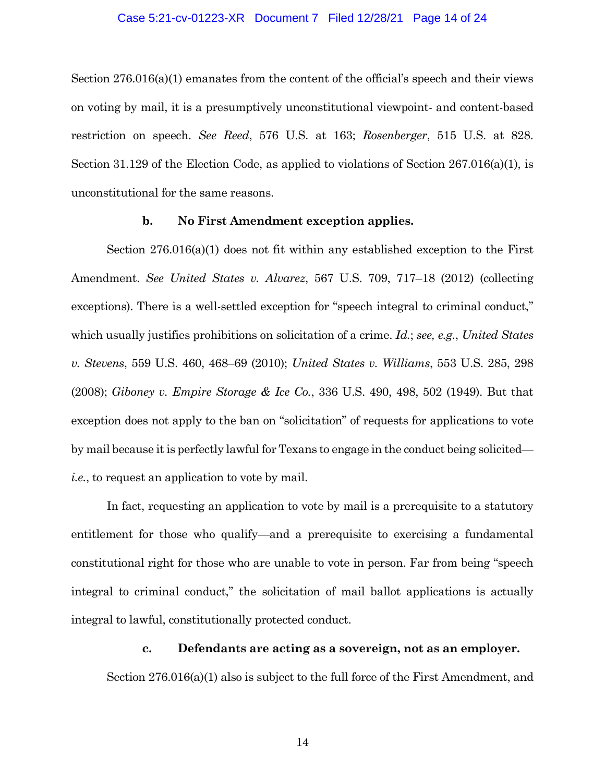#### Case 5:21-cv-01223-XR Document 7 Filed 12/28/21 Page 14 of 24

Section 276.016(a)(1) emanates from the content of the official's speech and their views on voting by mail, it is a presumptively unconstitutional viewpoint- and content-based restriction on speech. *See Reed*, 576 U.S. at 163; *Rosenberger*, 515 U.S. at 828. Section 31.129 of the Election Code, as applied to violations of Section 267.016(a)(1), is unconstitutional for the same reasons.

#### **b. No First Amendment exception applies.**

Section 276.016(a)(1) does not fit within any established exception to the First Amendment. *See United States v. Alvarez*, 567 U.S. 709, 717–18 (2012) (collecting exceptions). There is a well-settled exception for "speech integral to criminal conduct," which usually justifies prohibitions on solicitation of a crime. *Id.*; *see, e.g.*, *United States v. Stevens*, 559 U.S. 460, 468–69 (2010); *United States v. Williams*, 553 U.S. 285, 298 (2008); *Giboney v. Empire Storage & Ice Co.*, 336 U.S. 490, 498, 502 (1949). But that exception does not apply to the ban on "solicitation" of requests for applications to vote by mail because it is perfectly lawful for Texans to engage in the conduct being solicited *i.e.*, to request an application to vote by mail.

In fact, requesting an application to vote by mail is a prerequisite to a statutory entitlement for those who qualify—and a prerequisite to exercising a fundamental constitutional right for those who are unable to vote in person. Far from being "speech integral to criminal conduct," the solicitation of mail ballot applications is actually integral to lawful, constitutionally protected conduct.

# **c. Defendants are acting as a sovereign, not as an employer.**

Section 276.016(a)(1) also is subject to the full force of the First Amendment, and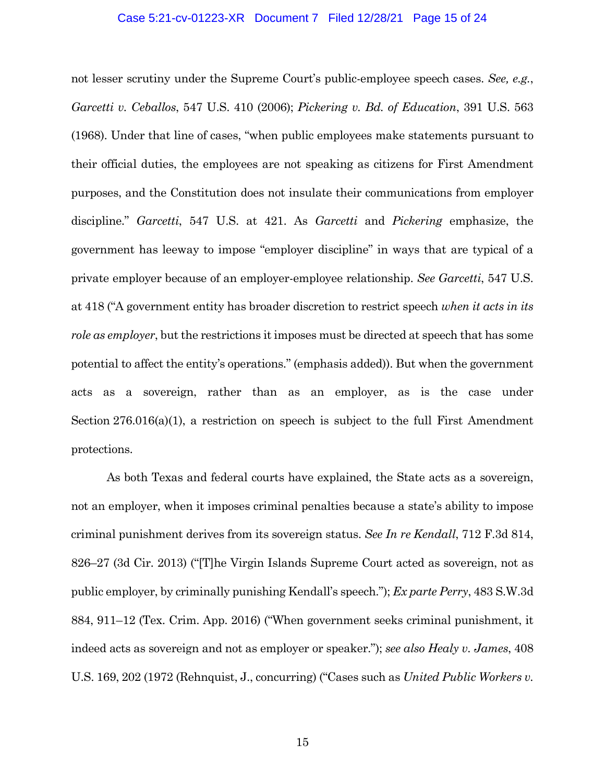## Case 5:21-cv-01223-XR Document 7 Filed 12/28/21 Page 15 of 24

not lesser scrutiny under the Supreme Court's public-employee speech cases. *See, e.g.*, *Garcetti v. Ceballos*, 547 U.S. 410 (2006); *Pickering v. Bd. of Education*, 391 U.S. 563 (1968). Under that line of cases, "when public employees make statements pursuant to their official duties, the employees are not speaking as citizens for First Amendment purposes, and the Constitution does not insulate their communications from employer discipline." *Garcetti*, 547 U.S. at 421. As *Garcetti* and *Pickering* emphasize, the government has leeway to impose "employer discipline" in ways that are typical of a private employer because of an employer-employee relationship. *See Garcetti*, 547 U.S. at 418 ("A government entity has broader discretion to restrict speech *when it acts in its role as employer*, but the restrictions it imposes must be directed at speech that has some potential to affect the entity's operations." (emphasis added)). But when the government acts as a sovereign, rather than as an employer, as is the case under Section 276.016(a)(1), a restriction on speech is subject to the full First Amendment protections.

As both Texas and federal courts have explained, the State acts as a sovereign, not an employer, when it imposes criminal penalties because a state's ability to impose criminal punishment derives from its sovereign status. *See In re Kendall*, 712 F.3d 814, 826–27 (3d Cir. 2013) ("[T]he Virgin Islands Supreme Court acted as sovereign, not as public employer, by criminally punishing Kendall's speech."); *Ex parte Perry*, 483 S.W.3d 884, 911–12 (Tex. Crim. App. 2016) ("When government seeks criminal punishment, it indeed acts as sovereign and not as employer or speaker."); *see also Healy v. James*, 408 U.S. 169, 202 (1972 (Rehnquist, J., concurring) ("Cases such as *United Public Workers v.*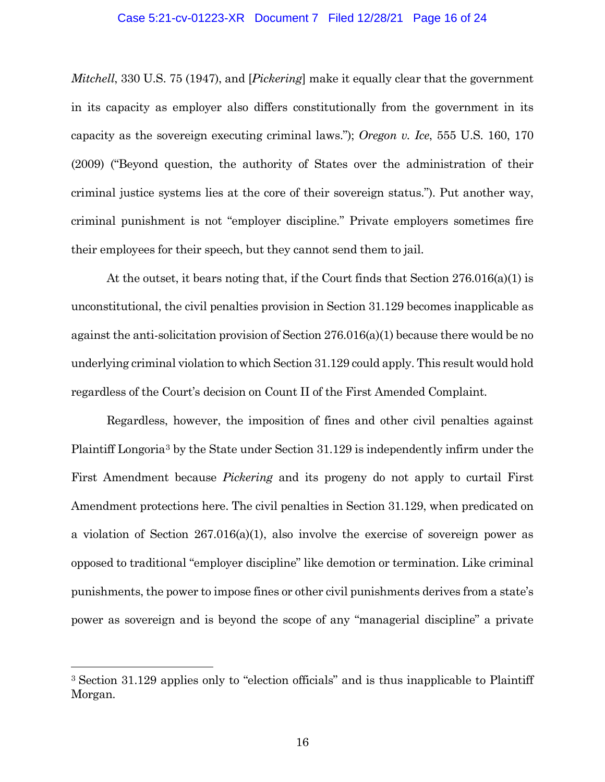# Case 5:21-cv-01223-XR Document 7 Filed 12/28/21 Page 16 of 24

*Mitchell*, 330 U.S. 75 (1947), and [*Pickering*] make it equally clear that the government in its capacity as employer also differs constitutionally from the government in its capacity as the sovereign executing criminal laws."); *Oregon v. Ice*, 555 U.S. 160, 170 (2009) ("Beyond question, the authority of States over the administration of their criminal justice systems lies at the core of their sovereign status."). Put another way, criminal punishment is not "employer discipline." Private employers sometimes fire their employees for their speech, but they cannot send them to jail.

At the outset, it bears noting that, if the Court finds that Section 276.016(a)(1) is unconstitutional, the civil penalties provision in Section 31.129 becomes inapplicable as against the anti-solicitation provision of Section 276.016(a)(1) because there would be no underlying criminal violation to which Section 31.129 could apply. This result would hold regardless of the Court's decision on Count II of the First Amended Complaint.

Regardless, however, the imposition of fines and other civil penalties against Plaintiff Longoria[3](#page-15-0) by the State under Section 31.129 is independently infirm under the First Amendment because *Pickering* and its progeny do not apply to curtail First Amendment protections here. The civil penalties in Section 31.129, when predicated on a violation of Section 267.016(a)(1), also involve the exercise of sovereign power as opposed to traditional "employer discipline" like demotion or termination. Like criminal punishments, the power to impose fines or other civil punishments derives from a state's power as sovereign and is beyond the scope of any "managerial discipline" a private

<span id="page-15-0"></span> <sup>3</sup> Section 31.129 applies only to "election officials" and is thus inapplicable to Plaintiff Morgan.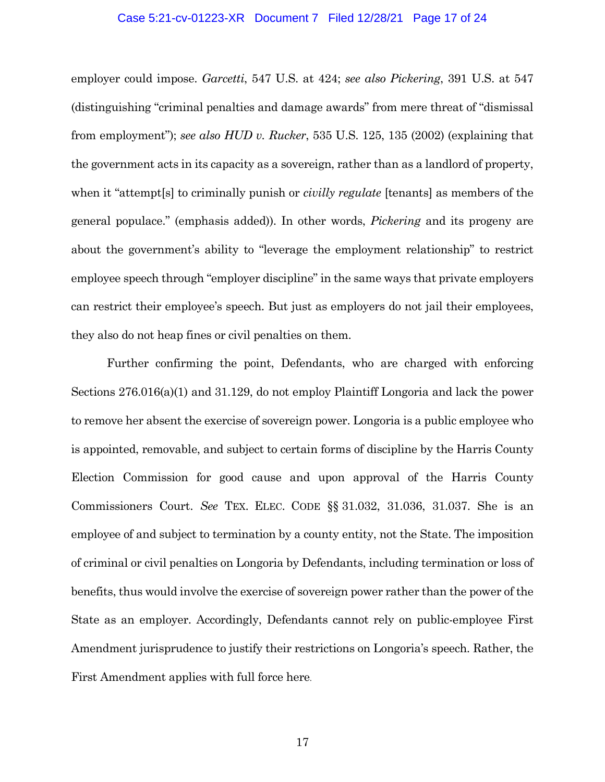# Case 5:21-cv-01223-XR Document 7 Filed 12/28/21 Page 17 of 24

employer could impose. *Garcetti*, 547 U.S. at 424; *see also Pickering*, 391 U.S. at 547 (distinguishing "criminal penalties and damage awards" from mere threat of "dismissal from employment"); *see also HUD v. Rucker*, 535 U.S. 125, 135 (2002) (explaining that the government acts in its capacity as a sovereign, rather than as a landlord of property, when it "attempt[s] to criminally punish or *civilly regulate* [tenants] as members of the general populace." (emphasis added)). In other words, *Pickering* and its progeny are about the government's ability to "leverage the employment relationship" to restrict employee speech through "employer discipline" in the same ways that private employers can restrict their employee's speech. But just as employers do not jail their employees, they also do not heap fines or civil penalties on them.

Further confirming the point, Defendants, who are charged with enforcing Sections 276.016(a)(1) and 31.129, do not employ Plaintiff Longoria and lack the power to remove her absent the exercise of sovereign power. Longoria is a public employee who is appointed, removable, and subject to certain forms of discipline by the Harris County Election Commission for good cause and upon approval of the Harris County Commissioners Court. *See* TEX. ELEC. CODE §§ 31.032, 31.036, 31.037. She is an employee of and subject to termination by a county entity, not the State. The imposition of criminal or civil penalties on Longoria by Defendants, including termination or loss of benefits, thus would involve the exercise of sovereign power rather than the power of the State as an employer. Accordingly, Defendants cannot rely on public-employee First Amendment jurisprudence to justify their restrictions on Longoria's speech. Rather, the First Amendment applies with full force here.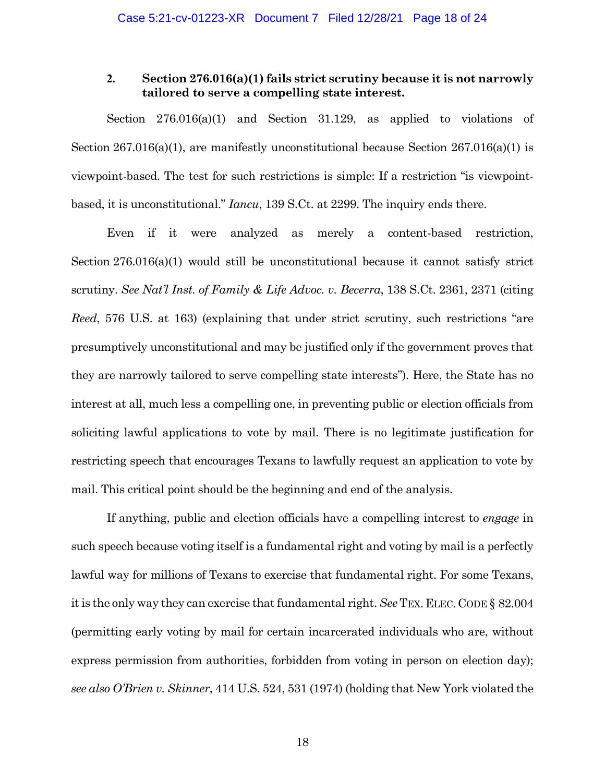# **2. Section 276.016(a)(1) fails strict scrutiny because it is not narrowly tailored to serve a compelling state interest.**

Section 276.016(a)(1) and Section 31.129, as applied to violations of Section 267.016(a)(1), are manifestly unconstitutional because Section 267.016(a)(1) is viewpoint-based. The test for such restrictions is simple: If a restriction "is viewpointbased, it is unconstitutional." *Iancu*, 139 S.Ct. at 2299. The inquiry ends there.

Even if it were analyzed as merely a content-based restriction, Section 276.016(a)(1) would still be unconstitutional because it cannot satisfy strict scrutiny. *See Nat'l Inst. of Family & Life Advoc. v. Becerra*, 138 S.Ct. 2361, 2371 (citing *Reed*, 576 U.S. at 163) (explaining that under strict scrutiny, such restrictions "are presumptively unconstitutional and may be justified only if the government proves that they are narrowly tailored to serve compelling state interests"). Here, the State has no interest at all, much less a compelling one, in preventing public or election officials from soliciting lawful applications to vote by mail. There is no legitimate justification for restricting speech that encourages Texans to lawfully request an application to vote by mail. This critical point should be the beginning and end of the analysis.

If anything, public and election officials have a compelling interest to *engage* in such speech because voting itself is a fundamental right and voting by mail is a perfectly lawful way for millions of Texans to exercise that fundamental right. For some Texans, it is the only way they can exercise that fundamental right. *See* TEX. ELEC.CODE § 82.004 (permitting early voting by mail for certain incarcerated individuals who are, without express permission from authorities, forbidden from voting in person on election day); *see also O'Brien v. Skinner*, 414 U.S. 524, 531 (1974) (holding that New York violated the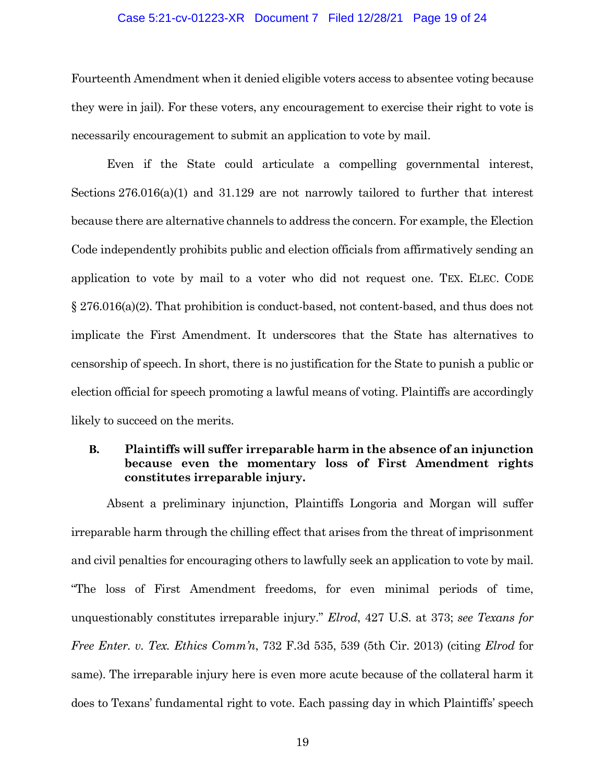## Case 5:21-cv-01223-XR Document 7 Filed 12/28/21 Page 19 of 24

Fourteenth Amendment when it denied eligible voters access to absentee voting because they were in jail). For these voters, any encouragement to exercise their right to vote is necessarily encouragement to submit an application to vote by mail.

Even if the State could articulate a compelling governmental interest, Sections 276.016(a)(1) and 31.129 are not narrowly tailored to further that interest because there are alternative channels to address the concern. For example, the Election Code independently prohibits public and election officials from affirmatively sending an application to vote by mail to a voter who did not request one. TEX. ELEC. CODE § 276.016(a)(2). That prohibition is conduct-based, not content-based, and thus does not implicate the First Amendment. It underscores that the State has alternatives to censorship of speech. In short, there is no justification for the State to punish a public or election official for speech promoting a lawful means of voting. Plaintiffs are accordingly likely to succeed on the merits.

# **B. Plaintiffs will suffer irreparable harm in the absence of an injunction because even the momentary loss of First Amendment rights constitutes irreparable injury.**

Absent a preliminary injunction, Plaintiffs Longoria and Morgan will suffer irreparable harm through the chilling effect that arises from the threat of imprisonment and civil penalties for encouraging others to lawfully seek an application to vote by mail. "The loss of First Amendment freedoms, for even minimal periods of time, unquestionably constitutes irreparable injury." *Elrod*, 427 U.S. at 373; *see Texans for Free Enter. v. Tex. Ethics Comm'n*, 732 F.3d 535, 539 (5th Cir. 2013) (citing *Elrod* for same). The irreparable injury here is even more acute because of the collateral harm it does to Texans' fundamental right to vote. Each passing day in which Plaintiffs' speech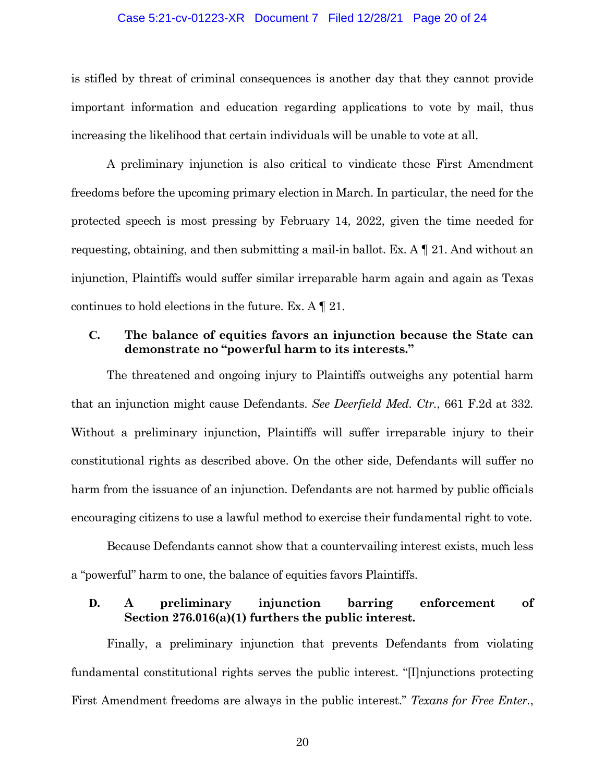#### Case 5:21-cv-01223-XR Document 7 Filed 12/28/21 Page 20 of 24

is stifled by threat of criminal consequences is another day that they cannot provide important information and education regarding applications to vote by mail, thus increasing the likelihood that certain individuals will be unable to vote at all.

A preliminary injunction is also critical to vindicate these First Amendment freedoms before the upcoming primary election in March. In particular, the need for the protected speech is most pressing by February 14, 2022, given the time needed for requesting, obtaining, and then submitting a mail-in ballot. Ex. A ¶ 21. And without an injunction, Plaintiffs would suffer similar irreparable harm again and again as Texas continues to hold elections in the future. Ex. A ¶ 21.

# **C. The balance of equities favors an injunction because the State can demonstrate no "powerful harm to its interests."**

The threatened and ongoing injury to Plaintiffs outweighs any potential harm that an injunction might cause Defendants. *See Deerfield Med. Ctr.*, 661 F.2d at 332*.*  Without a preliminary injunction, Plaintiffs will suffer irreparable injury to their constitutional rights as described above. On the other side, Defendants will suffer no harm from the issuance of an injunction. Defendants are not harmed by public officials encouraging citizens to use a lawful method to exercise their fundamental right to vote.

Because Defendants cannot show that a countervailing interest exists, much less a "powerful" harm to one, the balance of equities favors Plaintiffs.

# **D. A preliminary injunction barring enforcement of Section 276.016(a)(1) furthers the public interest.**

Finally, a preliminary injunction that prevents Defendants from violating fundamental constitutional rights serves the public interest. "[I]njunctions protecting First Amendment freedoms are always in the public interest." *Texans for Free Enter.*,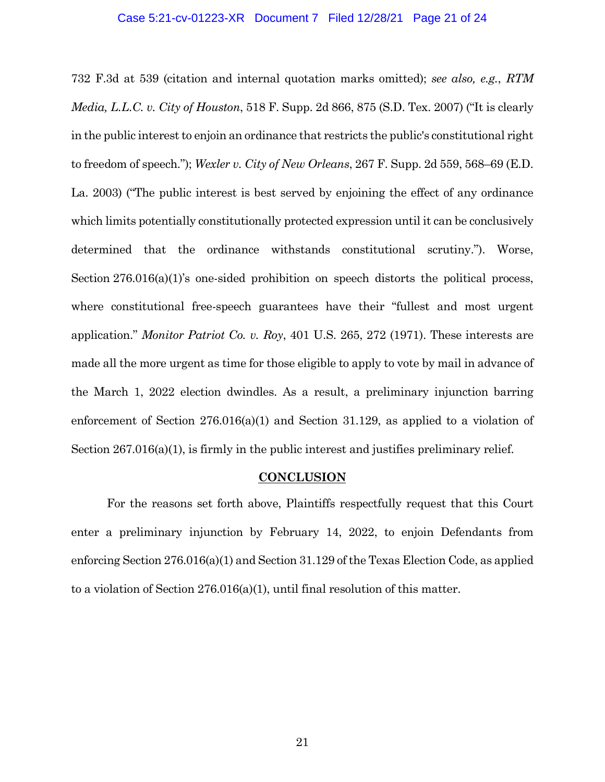#### Case 5:21-cv-01223-XR Document 7 Filed 12/28/21 Page 21 of 24

732 F.3d at 539 (citation and internal quotation marks omitted); *see also, e.g.*, *RTM Media, L.L.C. v. City of Houston*, 518 F. Supp. 2d 866, 875 (S.D. Tex. 2007) ("It is clearly in the public interest to enjoin an ordinance that restricts the public's constitutional right to freedom of speech."); *Wexler v. City of New Orleans*, 267 F. Supp. 2d 559, 568–69 (E.D. La. 2003) ("The public interest is best served by enjoining the effect of any ordinance which limits potentially constitutionally protected expression until it can be conclusively determined that the ordinance withstands constitutional scrutiny."). Worse, Section 276.016(a)(1)'s one-sided prohibition on speech distorts the political process, where constitutional free-speech guarantees have their "fullest and most urgent application." *Monitor Patriot Co. v. Roy*, 401 U.S. 265, 272 (1971). These interests are made all the more urgent as time for those eligible to apply to vote by mail in advance of the March 1, 2022 election dwindles. As a result, a preliminary injunction barring enforcement of Section 276.016(a)(1) and Section 31.129, as applied to a violation of Section 267.016(a)(1), is firmly in the public interest and justifies preliminary relief.

# **CONCLUSION**

For the reasons set forth above, Plaintiffs respectfully request that this Court enter a preliminary injunction by February 14, 2022, to enjoin Defendants from enforcing Section 276.016(a)(1) and Section 31.129 of the Texas Election Code, as applied to a violation of Section 276.016(a)(1), until final resolution of this matter.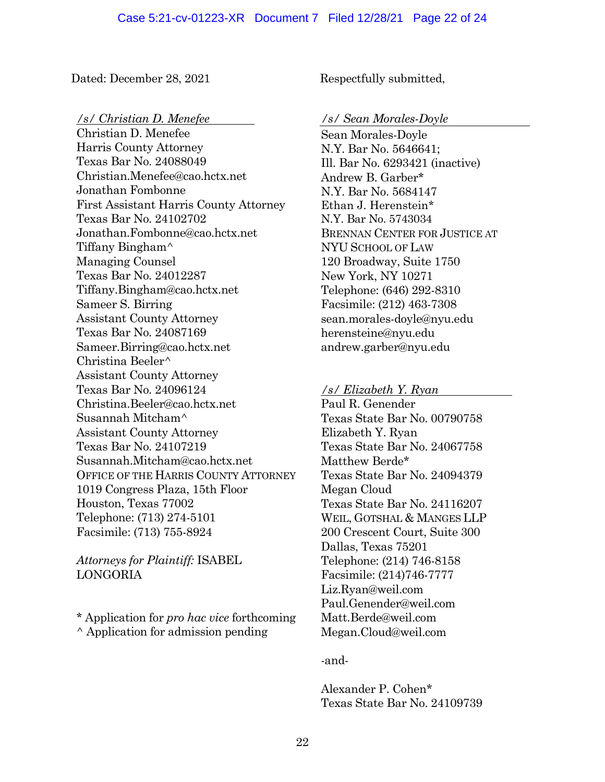Dated: December 28, 2021 Respectfully submitted,

## */s/ Christian D. Menefee /s/ Sean Morales-Doyle*

Christian D. Menefee Harris County Attorney Texas Bar No. 24088049 Christian.Menefee@cao.hctx.net Jonathan Fombonne First Assistant Harris County Attorney Texas Bar No. 24102702 Jonathan.Fombonne@cao.hctx.net Tiffany Bingham^ Managing Counsel Texas Bar No. 24012287 Tiffany.Bingham@cao.hctx.net Sameer S. Birring Assistant County Attorney Texas Bar No. 24087169 Sameer.Birring@cao.hctx.net Christina Beeler^ Assistant County Attorney Texas Bar No. 24096124 Christina.Beeler@cao.hctx.net Susannah Mitcham^ Assistant County Attorney Texas Bar No. 24107219 Susannah.Mitcham@cao.hctx.net OFFICE OF THE HARRIS COUNTY ATTORNEY 1019 Congress Plaza, 15th Floor Houston, Texas 77002 Telephone: (713) 274-5101 Facsimile: (713) 755-8924

*Attorneys for Plaintiff:* ISABEL LONGORIA

\* Application for *pro hac vice* forthcoming ^ Application for admission pending

Sean Morales-Doyle N.Y. Bar No. 5646641; Ill. Bar No. 6293421 (inactive) Andrew B. Garber\* N.Y. Bar No. 5684147 Ethan J. Herenstein\* N.Y. Bar No. 5743034 BRENNAN CENTER FOR JUSTICE AT NYU SCHOOL OF LAW 120 Broadway, Suite 1750 New York, NY 10271 Telephone: (646) 292-8310 Facsimile: (212) 463-7308 sean.morales-doyle@nyu.edu herensteine@nyu.edu andrew.garber@nyu.edu

# */s/ Elizabeth Y. Ryan*

Paul R. Genender Texas State Bar No. 00790758 Elizabeth Y. Ryan Texas State Bar No. 24067758 Matthew Berde\* Texas State Bar No. 24094379 Megan Cloud Texas State Bar No. 24116207 WEIL, GOTSHAL & MANGES LLP 200 Crescent Court, Suite 300 Dallas, Texas 75201 Telephone: (214) 746-8158 Facsimile: (214)746-7777 Liz.Ryan@weil.com Paul.Genender@weil.com Matt.Berde@weil.com Megan.Cloud@weil.com

# -and-

Alexander P. Cohen\* Texas State Bar No. 24109739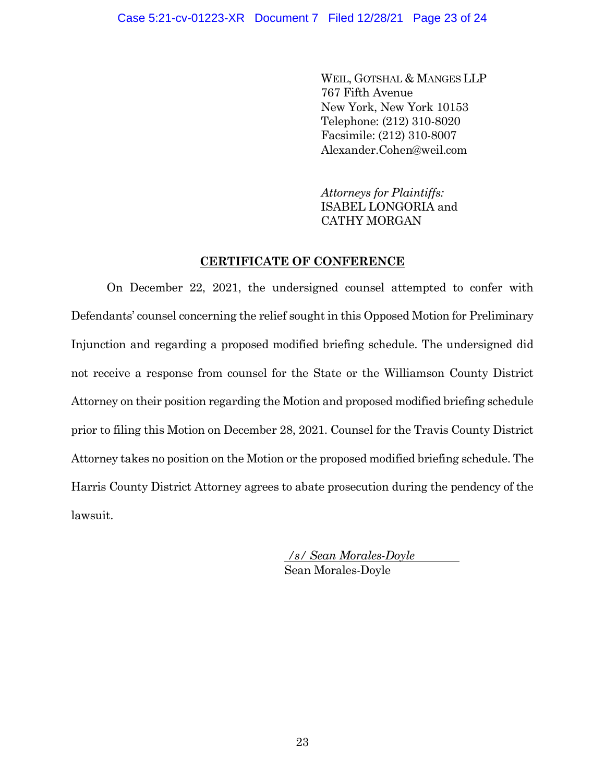WEIL, GOTSHAL & MANGES LLP 767 Fifth Avenue New York, New York 10153 Telephone: (212) 310-8020 Facsimile: (212) 310-8007 Alexander.Cohen@weil.com

*Attorneys for Plaintiffs:* ISABEL LONGORIA and CATHY MORGAN

# **CERTIFICATE OF CONFERENCE**

On December 22, 2021, the undersigned counsel attempted to confer with Defendants' counsel concerning the relief sought in this Opposed Motion for Preliminary Injunction and regarding a proposed modified briefing schedule. The undersigned did not receive a response from counsel for the State or the Williamson County District Attorney on their position regarding the Motion and proposed modified briefing schedule prior to filing this Motion on December 28, 2021. Counsel for the Travis County District Attorney takes no position on the Motion or the proposed modified briefing schedule. The Harris County District Attorney agrees to abate prosecution during the pendency of the lawsuit.

> */s/ Sean Morales-Doyle* Sean Morales-Doyle